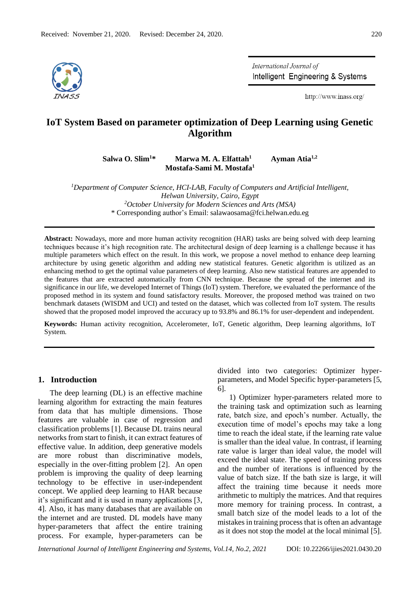

International Journal of Intelligent Engineering & Systems

http://www.inass.org/

# **IoT System Based on parameter optimization of Deep Learning using Genetic Algorithm**

**Salwa O. Slim<sup>1</sup>\* Marwa M. A. Elfattah<sup>1</sup> Mostafa-Sami M. Mostafa<sup>1</sup>**

 **Ayman Atia1,2**

*<sup>1</sup>Department of Computer Science, HCI-LAB, Faculty of Computers and Artificial Intelligent, Helwan University, Cairo, Egypt <sup>2</sup>October University for Modern Sciences and Arts (MSA)* \* Corresponding author's Email: salawaosama@fci.helwan.edu.eg

**Abstract:** Nowadays, more and more human activity recognition (HAR) tasks are being solved with deep learning techniques because it's high recognition rate. The architectural design of deep learning is a challenge because it has multiple parameters which effect on the result. In this work, we propose a novel method to enhance deep learning architecture by using genetic algorithm and adding new statistical features. Genetic algorithm is utilized as an enhancing method to get the optimal value parameters of deep learning. Also new statistical features are appended to the features that are extracted automatically from CNN technique. Because the spread of the internet and its significance in our life, we developed Internet of Things (IoT) system. Therefore, we evaluated the performance of the proposed method in its system and found satisfactory results. Moreover, the proposed method was trained on two benchmark datasets (WISDM and UCI) and tested on the dataset, which was collected from IoT system. The results showed that the proposed model improved the accuracy up to 93.8% and 86.1% for user-dependent and independent.

**Keywords:** Human activity recognition, Accelerometer, IoT, Genetic algorithm, Deep learning algorithms, IoT System.

### **1. Introduction**

The deep learning (DL) is an effective machine learning algorithm for extracting the main features from data that has multiple dimensions. Those features are valuable in case of regression and classification problems [1]. Because DL trains neural networks from start to finish, it can extract features of effective value. In addition, deep generative models are more robust than discriminative models, especially in the over-fitting problem [2]. An open problem is improving the quality of deep learning technology to be effective in user-independent concept. We applied deep learning to HAR because it's significant and it is used in many applications [3, 4]. Also, it has many databases that are available on the internet and are trusted. DL models have many hyper-parameters that affect the entire training process. For example, hyper-parameters can be

divided into two categories: Optimizer hyperparameters, and Model Specific hyper-parameters [5, 6].

1) Optimizer hyper-parameters related more to the training task and optimization such as learning rate, batch size, and epoch's number. Actually, the execution time of model's epochs may take a long time to reach the ideal state, if the learning rate value is smaller than the ideal value. In contrast, if learning rate value is larger than ideal value, the model will exceed the ideal state. The speed of training process and the number of iterations is influenced by the value of batch size. If the bath size is large, it will affect the training time because it needs more arithmetic to multiply the matrices. And that requires more memory for training process. In contrast, a small batch size of the model leads to a lot of the mistakes in training process that is often an advantage as it does not stop the model at the local minimal [5].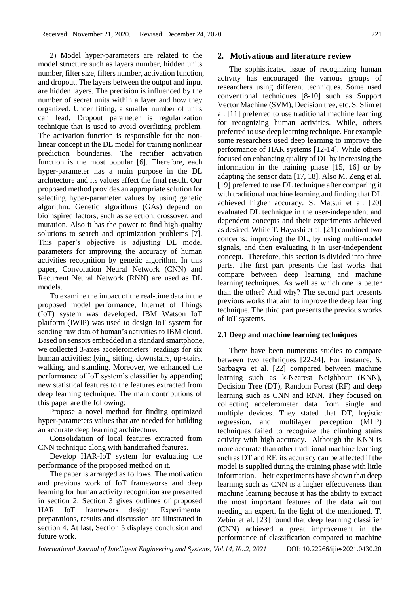2) Model hyper-parameters are related to the model structure such as layers number, hidden units number, filter size, filters number, activation function, and dropout. The layers between the output and input are hidden layers. The precision is influenced by the number of secret units within a layer and how they organized. Under fitting, a smaller number of units can lead. Dropout parameter is regularization technique that is used to avoid overfitting problem. The activation function is responsible for the nonlinear concept in the DL model for training nonlinear prediction boundaries. The rectifier activation function is the most popular [6]. Therefore, each hyper-parameter has a main purpose in the DL architecture and its values affect the final result. Our proposed method provides an appropriate solution for selecting hyper-parameter values by using genetic algorithm. Genetic algorithms (GAs) depend on bioinspired factors, such as selection, crossover, and mutation. Also it has the power to find high-quality solutions to search and optimization problems [7]. This paper's objective is adjusting DL model parameters for improving the accuracy of human activities recognition by genetic algorithm. In this paper, Convolution Neural Network (CNN) and Recurrent Neural Network (RNN) are used as DL models.

To examine the impact of the real-time data in the proposed model performance, Internet of Things (IoT) system was developed. IBM Watson IoT platform (IWIP) was used to design IoT system for sending raw data of human's activities to IBM cloud. Based on sensors embedded in a standard smartphone, we collected 3-axes accelerometers' readings for six human activities: lying, sitting, downstairs, up-stairs, walking, and standing. Moreover, we enhanced the performance of IoT system's classifier by appending new statistical features to the features extracted from deep learning technique. The main contributions of this paper are the following:

Propose a novel method for finding optimized hyper-parameters values that are needed for building an accurate deep learning architecture.

Consolidation of local features extracted from CNN technique along with handcrafted features.

Develop HAR-IoT system for evaluating the performance of the proposed method on it.

The paper is arranged as follows. The motivation and previous work of IoT frameworks and deep learning for human activity recognition are presented in section 2. Section 3 gives outlines of proposed HAR IoT framework design. Experimental preparations, results and discussion are illustrated in section 4. At last, Section 5 displays conclusion and future work.

# **2. Motivations and literature review**

The sophisticated issue of recognizing human activity has encouraged the various groups of researchers using different techniques. Some used conventional techniques [8-10] such as Support Vector Machine (SVM), Decision tree, etc. S. Slim et al. [11] preferred to use traditional machine learning for recognizing human activities. While, others preferred to use deep learning technique. For example some researchers used deep learning to improve the performance of HAR systems [12-14]. While others focused on enhancing quality of DL by increasing the information in the training phase [15, 16] or by adapting the sensor data [17, 18]. Also M. Zeng et al. [19] preferred to use DL technique after comparing it with traditional machine learning and finding that DL achieved higher accuracy. S. Matsui et al. [20] evaluated DL technique in the user-independent and dependent concepts and their experiments achieved as desired. While T. Hayashi et al. [21] combined two concerns: improving the DL, by using multi-model signals, and then evaluating it in user-independent concept. Therefore, this section is divided into three parts. The first part presents the last works that compare between deep learning and machine learning techniques. As well as which one is better than the other? And why? The second part presents previous works that aim to improve the deep learning technique. The third part presents the previous works of IoT systems.

### **2.1 Deep and machine learning techniques**

There have been numerous studies to compare between two techniques [22-24]. For instance, S. Sarbagya et al. [22] compared between machine learning such as k-Nearest Neighbour (KNN), Decision Tree (DT), Random Forest (RF) and deep learning such as CNN and RNN. They focused on collecting accelerometer data from single and multiple devices. They stated that DT, logistic regression, and multilayer perception (MLP) techniques failed to recognize the climbing stairs activity with high accuracy. Although the KNN is more accurate than other traditional machine learning such as DT and RF, its accuracy can be affected if the model is supplied during the training phase with little information. Their experiments have shown that deep learning such as CNN is a higher effectiveness than machine learning because it has the ability to extract the most important features of the data without needing an expert. In the light of the mentioned, T. Zebin et al. [23] found that deep learning classifier (CNN) achieved a great improvement in the performance of classification compared to machine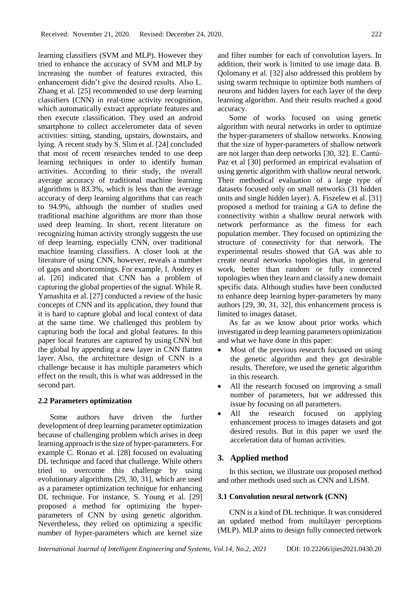learning classifiers (SVM and MLP). However they tried to enhance the accuracy of SVM and MLP by increasing the number of features extracted, this enhancement didn't give the desired results. Also L. Zhang et al. [25] recommended to use deep learning classifiers (CNN) in real-time activity recognition, which automatically extract appropriate features and then execute classification. They used an android smartphone to collect accelerometer data of seven activities: sitting, standing, upstairs, downstairs, and lying. A recent study by S. Slim et al. [24] concluded that most of recent researches tended to use deep learning techniques in order to identify human activities. According to their study, the overall average accuracy of traditional machine learning algorithms is 83.3%, which is less than the average accuracy of deep learning algorithms that can reach to 94.9%, although the number of studies used traditional machine algorithms are more than those used deep learning. In short, recent literature on recognizing human activity strongly suggests the use of deep learning, especially CNN, over traditional machine learning classifiers. A closer look at the literature of using CNN, however, reveals a number of gaps and shortcomings. For example, I. Andrey et al. [26] indicated that CNN has a problem of capturing the global properties of the signal. While R. Yamashita et al. [27] conducted a review of the basic concepts of CNN and its application, they found that it is hard to capture global and local context of data at the same time. We challenged this problem by capturing both the local and global features. In this paper local features are captured by using CNN but the global by appending a new layer in CNN flatten layer. Also, the architecture design of CNN is a challenge because it has multiple parameters which effect on the result, this is what was addressed in the second part.

# **2.2 Parameters optimization**

Some authors have driven the further development of deep learning parameter optimization because of challenging problem which arises in deep learning approach is the size of hyper-parameters. For example C. Ronao et al. [28] focused on evaluating DL technique and faced that challenge. While others tried to overcome this challenge by using evolutionary algorithms [29, 30, 31], which are used as a parameter optimization technique for enhancing DL technique. For instance, S. Young et al. [29] proposed a method for optimizing the hyperparameters of CNN by using genetic algorithm. Nevertheless, they relied on optimizing a specific number of hyper-parameters which are kernel size and filter number for each of convolution layers. In addition, their work is limited to use image data. B. Qolomany et al. [32] also addressed this problem by using swarm technique to optimize both numbers of neurons and hidden layers for each layer of the deep learning algorithm. And their results reached a good accuracy.

Some of works focused on using genetic algorithm with neural networks in order to optimize the hyper-parameters of shallow networks. Knowing that the size of hyper-parameters of shallow network are not larger than deep networks [30, 32]. E. Cantú-Paz et al [30] performed an empirical evaluation of using genetic algorithm with shallow neural network. Their methodical evaluation of a large type of datasets focused only on small networks (31 hidden units and single hidden layer). A. Fiszelew et al. [31] proposed a method for training a GA to define the connectivity within a shallow neural network with network performance as the fitness for each population member. They focused on optimizing the structure of connectivity for that network. The experimental results showed that GA was able to create neural networks topologies that, in general work, better than random or fully connected topologies when they learn and classify a new domain specific data. Although studies have been conducted to enhance deep learning hyper-parameters by many authors [29, 30, 31, 32], this enhancement process is limited to images dataset.

As far as we know about prior works which investigated in deep learning parameters optimization and what we have done in this paper:

- Most of the previous research focused on using the genetic algorithm and they got desirable results. Therefore, we used the genetic algorithm in this research.
- All the research focused on improving a small number of parameters, but we addressed this issue by focusing on all parameters.
- All the research focused on applying enhancement process to images datasets and got desired results. But in this paper we used the acceleration data of human activities.

# **3. Applied method**

In this section, we illustrate our proposed method and other methods used such as CNN and LISM.

# **3.1 Convolution neural network (CNN)**

CNN is a kind of DL technique. It was considered an updated method from multilayer perceptions (MLP). MLP aims to design fully connected network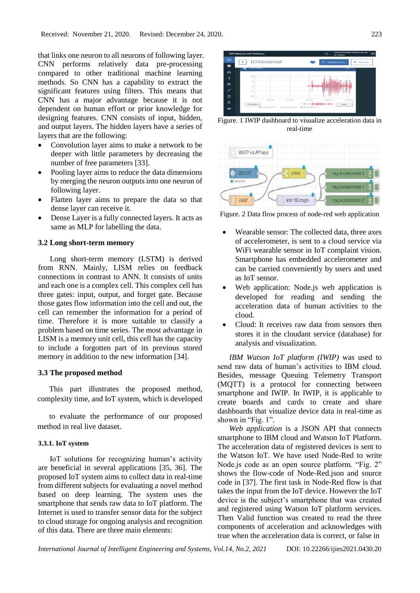that links one neuron to all neurons of following layer. CNN performs relatively data pre-processing compared to other traditional machine learning methods. So CNN has a capability to extract the significant features using filters. This means that CNN has a major advantage because it is not dependent on human effort or prior knowledge for designing features. CNN consists of input, hidden, and output layers. The hidden layers have a series of layers that are the following:

- Convolution layer aims to make a network to be deeper with little parameters by decreasing the number of free parameters [33].
- Pooling layer aims to reduce the data dimensions by merging the neuron outputs into one neuron of following layer.
- Flatten layer aims to prepare the data so that dense layer can receive it.
- Dense Layer is a fully connected layers. It acts as same as MLP for labelling the data.

# **3.2 Long short-term memory**

Long short-term memory (LSTM) is derived from RNN. Mainly, LISM relies on feedback connections in contrast to ANN. It consists of units and each one is a complex cell. This complex cell has three gates: input, output, and forget gate. Because those gates flow information into the cell and out, the cell can remember the information for a period of time. Therefore it is more suitable to classify a problem based on time series. The most advantage in LISM is a memory unit cell, this cell has the capacity to include a forgotten part of its previous stored memory in addition to the new information [34].

# **3.3 The proposed method**

This part illustrates the proposed method, complexity time, and IoT system, which is developed

to evaluate the performance of our proposed method in real live dataset.

#### **3.3.1. IoT system**

IoT solutions for recognizing human's activity are beneficial in several applications [35, 36]. The proposed IoT system aims to collect data in real-time from different subjects for evaluating a novel method based on deep learning. The system uses the smartphone that sends raw data to IoT platform. The Internet is used to transfer sensor data for the subject to cloud storage for ongoing analysis and recognition of this data. There are three main elements:



Figure. 1 IWIP dashboard to visualize acceleration data in real-time



Figure. 2 Data flow process of node-red web application

- Wearable sensor: The collected data, three axes of accelerometer, is sent to a cloud service via WiFi wearable sensor in IoT complaint vision. Smartphone has embedded accelerometer and can be carried conveniently by users and used as IoT sensor.
- Web application: Node.js web application is developed for reading and sending the acceleration data of human activities to the cloud.
- Cloud: It receives raw data from sensors then stores it in the cloudant service (database) for analysis and visualization.

*IBM Watson IoT platform (IWIP)* was used to send raw data of human's activities to IBM cloud. Besides, message Queuing Telemetry Transport (MQTT) is a protocol for connecting between smartphone and IWIP. In IWIP, it is applicable to create boards and cards to create and share dashboards that visualize device data in real-time as shown in "Fig. 1".

*Web application* is a JSON API that connects smartphone to IBM cloud and Watson IoT Platform. The acceleration data of registered devices is sent to the Watson IoT. We have used Node-Red to write Node.js code as an open source platform. "Fig. 2" shows the flow-code of Node-Red.json and source code in [37]. The first task in Node-Red flow is that takes the input from the IoT device. However the IoT device is the subject's smartphone that was created and registered using Watson IoT platform services. Then Valid function was created to read the three components of acceleration and acknowledges with true when the acceleration data is correct, or false in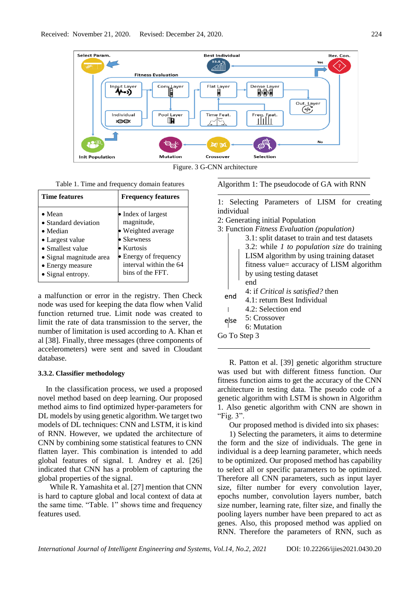

Figure. 3 G-CNN architecture

|  |  | Table 1. Time and frequency domain features |  |  |
|--|--|---------------------------------------------|--|--|
|--|--|---------------------------------------------|--|--|

| <b>Time features</b>     | <b>Frequency features</b> |
|--------------------------|---------------------------|
| $\bullet$ Mean           | • Index of largest        |
| • Standard deviation     | magnitude,                |
| $\bullet$ Median         | · Weighted average        |
| • Largest value          | $\bullet$ Skewness        |
| $\bullet$ Smallest value | $\bullet$ Kurtosis        |
| • Signal magnitude area  | • Energy of frequency     |
| • Energy measure         | interval within the 64    |
| • Signal entropy.        | bins of the FFT.          |

a malfunction or error in the registry. Then Check node was used for keeping the data flow when Valid function returned true. Limit node was created to limit the rate of data transmission to the server, the number of limitation is used according to A. Khan et al [38]. Finally, three messages (three components of accelerometers) were sent and saved in Cloudant database.

### **3.3.2. Classifier methodology**

In the classification process, we used a proposed novel method based on deep learning. Our proposed method aims to find optimized hyper-parameters for DL models by using genetic algorithm. We target two models of DL techniques: CNN and LSTM, it is kind of RNN. However, we updated the architecture of CNN by combining some statistical features to CNN flatten layer. This combination is intended to add global features of signal. I. Andrey et al. [26] indicated that CNN has a problem of capturing the global properties of the signal.

While R. Yamashita et al. [27] mention that CNN is hard to capture global and local context of data at the same time. "Table. 1" shows time and frequency features used.

Algorithm 1: The pseudocode of GA with RNN

1: Selecting Parameters of LISM for creating individual

2: Generating initial Population

|      | 3: Function Fitness Evaluation (population)        |
|------|----------------------------------------------------|
|      | 3.1: split dataset to train and test datasets      |
|      | 3.2: while <i>1 to population size</i> do training |
|      | LISM algorithm by using training dataset           |
|      | fitness value= accuracy of LISM algorithm          |
|      | by using testing dataset                           |
|      | end                                                |
| end  | 4: if <i>Critical is satisfied?</i> then           |
|      | 4.1: return Best Individual                        |
|      | 4.2: Selection end                                 |
| else | 5: Crossover                                       |
|      | 6: Mutation                                        |
|      | Go To Step 3                                       |
|      |                                                    |

R. Patton et al. [39] genetic algorithm structure was used but with different fitness function. Our fitness function aims to get the accuracy of the CNN architecture in testing data. The pseudo code of a genetic algorithm with LSTM is shown in Algorithm 1. Also genetic algorithm with CNN are shown in "Fig. 3".

Our proposed method is divided into six phases:

1) Selecting the parameters, it aims to determine the form and the size of individuals. The gene in individual is a deep learning parameter, which needs to be optimized. Our proposed method has capability to select all or specific parameters to be optimized. Therefore all CNN parameters, such as input layer size, filter number for every convolution layer, epochs number, convolution layers number, batch size number, learning rate, filter size, and finally the pooling layers number have been prepared to act as genes. Also, this proposed method was applied on RNN. Therefore the parameters of RNN, such as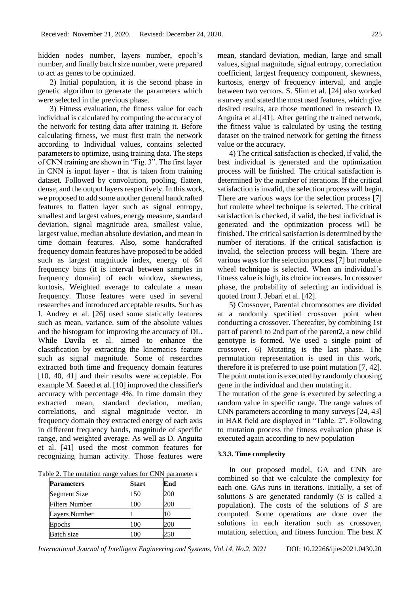hidden nodes number, layers number, epoch's number, and finally batch size number, were prepared to act as genes to be optimized.

2) Initial population, it is the second phase in genetic algorithm to generate the parameters which were selected in the previous phase.

3) Fitness evaluation, the fitness value for each individual is calculated by computing the accuracy of the network for testing data after training it. Before calculating fitness, we must first train the network according to Individual values, contains selected parameters to optimize, using training data. The steps of CNN training are shown in "Fig. 3". The first layer in CNN is input layer - that is taken from training dataset. Followed by convolution, pooling, flatten, dense, and the output layers respectively. In this work, we proposed to add some another general handcrafted features to flatten layer such as signal entropy, smallest and largest values, energy measure, standard deviation, signal magnitude area, smallest value, largest value, median absolute deviation, and mean in time domain features. Also, some handcrafted frequency domain features have proposed to be added such as largest magnitude index, energy of 64 frequency bins (it is interval between samples in frequency domain) of each window, skewness, kurtosis, Weighted average to calculate a mean frequency. Those features were used in several researches and introduced acceptable results. Such as I. Andrey et al. [26] used some statically features such as mean, variance, sum of the absolute values and the histogram for improving the accuracy of DL. While Davila et al. aimed to enhance the classification by extracting the kinematics feature such as signal magnitude. Some of researches extracted both time and frequency domain features [10, 40, 41] and their results were acceptable. For example M. Saeed et al. [10] improved the classifier's accuracy with percentage 4%. In time domain they extracted mean, standard deviation, median, correlations, and signal magnitude vector. In frequency domain they extracted energy of each axis in different frequency bands, magnitude of specific range, and weighted average. As well as D. Anguita et al. [41] used the most common features for recognizing human activity. Those features were

| Table 2. The mutation range values for CNN parameters |  |  |
|-------------------------------------------------------|--|--|
|-------------------------------------------------------|--|--|

| <b>Parameters</b>     | Start | End |
|-----------------------|-------|-----|
| Segment Size          | 150   | 200 |
| <b>Filters Number</b> | 100   | 200 |
| Layers Number         |       | 10  |
| Epochs                | 100   | 200 |
| <b>Batch size</b>     | 00    |     |

mean, standard deviation, median, large and small values, signal magnitude, signal entropy, correclation coefficient, largest frequency component, skewness, kurtosis, energy of frequency interval, and angle between two vectors. S. Slim et al. [24] also worked a survey and stated the most used features, which give desired results, are those mentioned in research D. Anguita et al.[41]. After getting the trained network, the fitness value is calculated by using the testing dataset on the trained network for getting the fitness value or the accuracy.

4) The critical satisfaction is checked, if valid, the best individual is generated and the optimization process will be finished. The critical satisfaction is determined by the number of iterations. If the critical satisfaction is invalid, the selection process will begin. There are various ways for the selection process [7] but roulette wheel technique is selected. The critical satisfaction is checked, if valid, the best individual is generated and the optimization process will be finished. The critical satisfaction is determined by the number of iterations. If the critical satisfaction is invalid, the selection process will begin. There are various ways for the selection process [7] but roulette wheel technique is selected. When an individual's fitness value is high, its choice increases. In crossover phase, the probability of selecting an individual is quoted from J. Jebari et al. [42].

5) Crossover, Parental chromosomes are divided at a randomly specified crossover point when conducting a crossover. Thereafter, by combining 1st part of parent1 to 2nd part of the parent2, a new child genotype is formed. We used a single point of crossover. 6) Mutating is the last phase. The permutation representation is used in this work, therefore it is preferred to use point mutation [7, 42]. The point mutation is executed by randomly choosing gene in the individual and then mutating it.

The mutation of the gene is executed by selecting a random value in specific range. The range values of CNN parameters according to many surveys [24, 43] in HAR field are displayed in "Table. 2". Following to mutation process the fitness evaluation phase is executed again according to new population

#### **3.3.3. Time complexity**

In our proposed model, GA and CNN are combined so that we calculate the complexity for each one. GAs runs in iterations. Initially, a set of solutions *S* are generated randomly (*S* is called a population). The costs of the solutions of *S* are computed. Some operations are done over the solutions in each iteration such as crossover, mutation, selection, and fitness function. The best *K*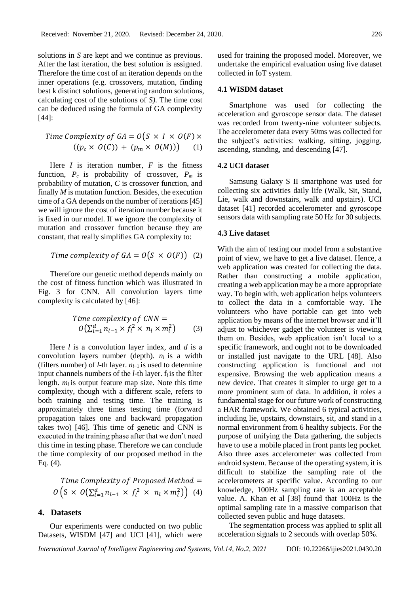solutions in *S* are kept and we continue as previous. After the last iteration, the best solution is assigned. Therefore the time cost of an iteration depends on the inner operations (e.g. crossovers, mutation, finding best k distinct solutions, generating random solutions, calculating cost of the solutions of *S)*. The time cost can be deduced using the formula of GA complexity [44]:

$$
Time Complexity of GA = O(S \times I \times O(F) \times ((p_c \times O(C)) + (p_m \times O(M))) \quad (1)
$$

Here  $I$  is iteration number,  $F$  is the fitness function,  $P_c$  is probability of crossover,  $P_m$  is probability of mutation, *C* is crossover function, and finally *M* is mutation function. Besides, the execution time of a GA depends on the number of iterations [45] we will ignore the cost of iteration number because it is fixed in our model. If we ignore the complexity of mutation and crossover function because they are constant, that really simplifies GA complexity to:

Time complexity of 
$$
GA = O(S \times O(F))
$$
 (2)

Therefore our genetic method depends mainly on the cost of fitness function which was illustrated in Fig. 3 for CNN. All convolution layers time complexity is calculated by [46]:

Time complexity of CNN =  
\n
$$
O(\sum_{l=1}^{d} n_{l-1} \times f_l^2 \times n_l \times m_l^2)
$$
\n(3)

Here *l* is a convolution layer index, and *d* is a convolution layers number (depth). *nl* is a width (filters number) of *l*-th layer. *nl*−1 is used to determine input channels numbers of the *l*-th layer.  $f_i$  is the filter length.  $m_l$  is output feature map size. Note this time complexity, though with a different scale, refers to both training and testing time. The training is approximately three times testing time (forward propagation takes one and backward propagation takes two) [46]. This time of genetic and CNN is executed in the training phase after that we don't need this time in testing phase. Therefore we can conclude the time complexity of our proposed method in the Eq. (4).

$$
Time Complexity of Proposed Method = O(S \times O(\sum_{l=1}^{d} n_{l-1} \times f_l^2 \times n_l \times m_l^2))
$$
(4)

# **4. Datasets**

Our experiments were conducted on two public Datasets, WISDM [47] and UCI [41], which were used for training the proposed model. Moreover, we undertake the empirical evaluation using live dataset collected in IoT system.

# **4.1 WISDM dataset**

Smartphone was used for collecting the acceleration and gyroscope sensor data. The dataset was recorded from twenty-nine volunteer subjects. The accelerometer data every 50ms was collected for the subject's activities: walking, sitting, jogging, ascending, standing, and descending [47].

# **4.2 UCI dataset**

Samsung Galaxy S II smartphone was used for collecting six activities daily life (Walk, Sit, Stand, Lie, walk and downstairs, walk and upstairs). UCI dataset [41] recorded accelerometer and gyroscope sensors data with sampling rate 50 Hz for 30 subjects.

#### **4.3 Live dataset**

With the aim of testing our model from a substantive point of view, we have to get a live dataset. Hence, a web application was created for collecting the data. Rather than constructing a mobile application, creating a web application may be a more appropriate way. To begin with, web application helps volunteers to collect the data in a comfortable way. The volunteers who have portable can get into web application by means of the internet browser and it'll adjust to whichever gadget the volunteer is viewing them on. Besides, web application isn't local to a specific framework, and ought not to be downloaded or installed just navigate to the URL [48]. Also constructing application is functional and not expensive. Browsing the web application means a new device. That creates it simpler to urge get to a more prominent sum of data. In addition, it roles a fundamental stage for our future work of constructing a HAR framework. We obtained 6 typical activities, including lie, upstairs, downstairs, sit, and stand in a normal environment from 6 healthy subjects. For the purpose of unifying the Data gathering, the subjects have to use a mobile placed in front pants leg pocket. Also three axes accelerometer was collected from android system. Because of the operating system, it is difficult to stabilize the sampling rate of the accelerometers at specific value. According to our knowledge, 100Hz sampling rate is an acceptable value. A. Khan et al [38] found that 100Hz is the optimal sampling rate in a massive comparison that collected seven public and huge datasets.

The segmentation process was applied to split all acceleration signals to 2 seconds with overlap 50%.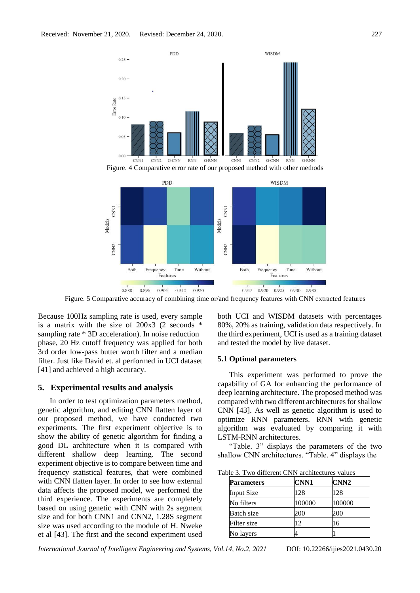



Figure. 5 Comparative accuracy of combining time or/and frequency features with CNN extracted features

Because 100Hz sampling rate is used, every sample is a matrix with the size of 200x3 (2 seconds \* sampling rate \* 3D acceleration). In noise reduction phase, 20 Hz cutoff frequency was applied for both 3rd order low-pass butter worth filter and a median filter. Just like David et. al performed in UCI dataset [41] and achieved a high accuracy.

#### **5. Experimental results and analysis**

In order to test optimization parameters method, genetic algorithm, and editing CNN flatten layer of our proposed method, we have conducted two experiments. The first experiment objective is to show the ability of genetic algorithm for finding a good DL architecture when it is compared with different shallow deep learning. The second experiment objective is to compare between time and frequency statistical features, that were combined with CNN flatten layer. In order to see how external data affects the proposed model, we performed the third experience. The experiments are completely based on using genetic with CNN with 2s segment size and for both CNN1 and CNN2, 1.28S segment size was used according to the module of H. Nweke et al [43]. The first and the second experiment used both UCI and WISDM datasets with percentages 80%, 20% as training, validation data respectively. In the third experiment, UCI is used as a training dataset and tested the model by live dataset.

#### **5.1 Optimal parameters**

This experiment was performed to prove the capability of GA for enhancing the performance of deep learning architecture. The proposed method was compared with two different architectures for shallow CNN [43]. As well as genetic algorithm is used to optimize RNN parameters. RNN with genetic algorithm was evaluated by comparing it with LSTM-RNN architectures.

"Table. 3" displays the parameters of the two shallow CNN architectures. "Table. 4" displays the

| Table 3. Two different CNN architectures values |  |  |  |  |
|-------------------------------------------------|--|--|--|--|
|-------------------------------------------------|--|--|--|--|

| <b>Parameters</b> | <b>CNN1</b> | CNN <sub>2</sub> |
|-------------------|-------------|------------------|
| <b>Input Size</b> | 128         | 128              |
| No filters        | 100000      | 100000           |
| <b>Batch size</b> | 200         | 200              |
| Filter size       | 12          | 16               |
| No layers         |             |                  |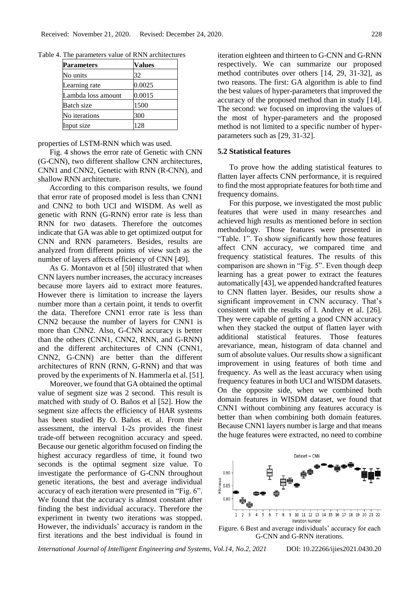| Parameters         | Values |  |
|--------------------|--------|--|
| No units           | 32     |  |
| Learning rate      | 0.0025 |  |
| Lambda loss amount | 0.0015 |  |
| Batch size         | 1500   |  |
| No iterations      | 300    |  |
| Input size         | 28     |  |

Table 4. The parameters value of RNN architectures

properties of LSTM-RNN which was used.

Fig. 4 shows the error rate of Genetic with CNN (G-CNN), two different shallow CNN architectures, CNN1 and CNN2, Genetic with RNN (R-CNN), and shallow RNN architecture.

According to this comparison results, we found that error rate of proposed model is less than CNN1 and CNN2 to both UCI and WISDM. As well as genetic with RNN (G-RNN) error rate is less than RNN for two datasets. Therefore the outcomes indicate that GA was able to get optimized output for CNN and RNN parameters. Besides, results are analyzed from different points of view such as the number of layers affects efficiency of CNN [49].

As G. Montavon et al [50] illustrated that when CNN layers number increases, the accuracy increases because more layers aid to extract more features. However there is limitation to increase the layers number more than a certain point, it tends to overfit the data. Therefore CNN1 error rate is less than CNN2 because the number of layers for CNN1 is more than CNN2. Also, G-CNN accuracy is better than the others (CNN1, CNN2, RNN, and G-RNN) and the different architectures of CNN (CNN1, CNN2, G-CNN) are better than the different architectures of RNN (RNN, G-RNN) and that was proved by the experiments of N. Hammerla et al. [51].

Moreover, we found that GA obtained the optimal value of segment size was 2 second. This result is matched with study of O. Baños et al [52]. How the segment size affects the efficiency of HAR systems has been studied By O. Baños et. al. From their assessment, the interval 1-2s provides the finest trade-off between recognition accuracy and speed. Because our genetic algorithm focused on finding the highest accuracy regardless of time, it found two seconds is the optimal segment size value. To investigate the performance of G-CNN throughout genetic iterations, the best and average individual accuracy of each iteration were presented in "Fig. 6". We found that the accuracy is almost constant after finding the best individual accuracy. Therefore the experiment in twenty two iterations was stopped. However, the individuals' accuracy is random in the first iterations and the best individual is found in

iteration eighteen and thirteen to G-CNN and G-RNN respectively. We can summarize our proposed method contributes over others [14, 29, 31-32], as two reasons. The first: GA algorithm is able to find the best values of hyper-parameters that improved the accuracy of the proposed method than in study [14]. The second: we focused on improving the values of the most of hyper-parameters and the proposed method is not limited to a specific number of hyperparameters such as [29, 31-32].

#### **5.2 Statistical features**

To prove how the adding statistical features to flatten layer affects CNN performance, it is required to find the most appropriate features for both time and frequency domains.

For this purpose, we investigated the most public features that were used in many researches and achieved high results as mentioned before in section methodology. Those features were presented in "Table. 1". To show significantly how those features affect CNN accuracy, we compared time and frequency statistical features. The results of this comparison are shown in "Fig. 5". Even though deep learning has a great power to extract the features automatically [43], we appended handcrafted features to CNN flatten layer. Besides, our results show a significant improvement in CNN accuracy. That's consistent with the results of I. Andrey et al. [26]. They were capable of getting a good CNN accuracy when they stacked the output of flatten layer with additional statistical features. Those features arevariance, mean, histogram of data channel and sum of absolute values. Our results show a significant improvement in using features of both time and frequency. As well as the least accuracy when using frequency features in both UCI and WISDM datasets. On the opposite side, when we combined both domain features in WISDM dataset, we found that CNN1 without combining any features accuracy is better than when combining both domain features. Because CNN1 layers number is large and that means the huge features were extracted, no need to combine



Figure. 6 Best and average individuals' accuracy for each G-CNN and G-RNN iterations.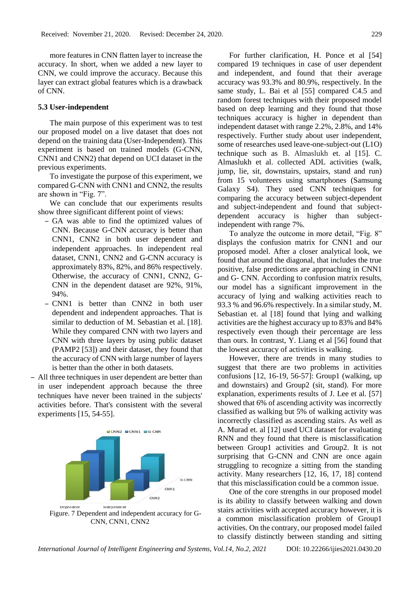more features in CNN flatten layer to increase the accuracy. In short, when we added a new layer to CNN, we could improve the accuracy. Because this layer can extract global features which is a drawback of CNN.

# **5.3 User-independent**

The main purpose of this experiment was to test our proposed model on a live dataset that does not depend on the training data (User-Independent). This experiment is based on trained models (G-CNN, CNN1 and CNN2) that depend on UCI dataset in the previous experiments.

To investigate the purpose of this experiment, we compared G-CNN with CNN1 and CNN2, the results are shown in "Fig. 7".

We can conclude that our experiments results show three significant different point of views:

- GA was able to find the optimized values of CNN. Because G-CNN accuracy is better than CNN1, CNN2 in both user dependent and independent approaches. In independent real dataset, CNN1, CNN2 and G-CNN accuracy is approximately 83%, 82%, and 86% respectively. Otherwise, the accuracy of CNN1, CNN2, G-CNN in the dependent dataset are 92%, 91%, 94%.
- CNN1 is better than CNN2 in both user dependent and independent approaches. That is similar to deduction of M. Sebastian et al. [18]. While they compared CNN with two layers and CNN with three layers by using public dataset (PAMP2 [53]) and their dataset, they found that the accuracy of CNN with large number of layers is better than the other in both datasets.
- All three techniques in user dependent are better than in user independent approach because the three techniques have never been trained in the subjects' activities before. That's consistent with the several experiments [15, 54-55].



CNN, CNN1, CNN2

For further clarification, H. Ponce et al [54] compared 19 techniques in case of user dependent and independent, and found that their average accuracy was 93.3% and 80.9%, respectively. In the same study, L. Bai et al [55] compared C4.5 and random forest techniques with their proposed model based on deep learning and they found that those techniques accuracy is higher in dependent than independent dataset with range 2.2%, 2.8%, and 14% respectively. Further study about user independent, some of researches used leave-one-subject-out (L1O) technique such as B. Almaslukh et. al [15]. C. Almaslukh et al. collected ADL activities (walk, jump, lie, sit, downstairs, upstairs, stand and run) from 15 volunteers using smartphones (Samsung Galaxy S4). They used CNN techniques for comparing the accuracy between subject-dependent and subject-independent and found that subjectdependent accuracy is higher than subjectindependent with range 7%.

To analyze the outcome in more detail, "Fig. 8" displays the confusion matrix for CNN1 and our proposed model. After a closer analytical look, we found that around the diagonal, that includes the true positive, false predictions are approaching in CNN1 and G- CNN. According to confusion matrix results, our model has a significant improvement in the accuracy of lying and walking activities reach to 93.3 % and 96.6% respectively. In a similar study, M. Sebastian et. al [18] found that lying and walking activities are the highest accuracy up to 83% and 84% respectively even though their percentage are less than ours. In contrast, Y. Liang et al [56] found that the lowest accuracy of activities is walking.

However, there are trends in many studies to suggest that there are two problems in activities confusions [12, 16-19, 56-57]: Group1 (walking, up and downstairs) and Group2 (sit, stand). For more explanation, experiments results of J. Lee et al. [57] showed that 6% of ascending activity was incorrectly classified as walking but 5% of walking activity was incorrectly classified as ascending stairs. As well as A. Murad et. al [12] used UCI dataset for evaluating RNN and they found that there is misclassification between Group1 activities and Group2. It is not surprising that G-CNN and CNN are once again struggling to recognize a sitting from the standing activity. Many researchers [12, 16, 17, 18] contend that this misclassification could be a common issue.

One of the core strengths in our proposed model is its ability to classify between walking and down stairs activities with accepted accuracy however, it is a common misclassification problem of Group1 activities. On the contrary, our proposed model failed to classify distinctly between standing and sitting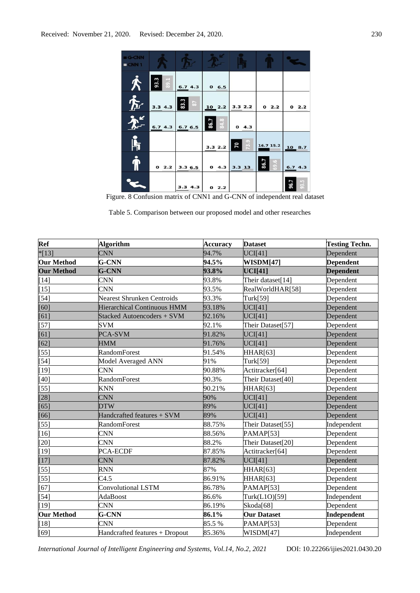| <b>BIG-CNN</b><br>CNN1           |              |                                  |              |            |              |              |
|----------------------------------|--------------|----------------------------------|--------------|------------|--------------|--------------|
| "                                | 93.3<br>89.1 | 6.74.3                           | 0, 6.5       |            |              |              |
| $\boldsymbol{\hat{\mathcal{F}}}$ | 3.34.3       | 83.3<br>$\overline{\phantom{a}}$ | 102.2        | 3.32.2     | 02.2         | 02.2         |
|                                  | 6.74.3       | 6.76.5                           | 84.8<br>86.7 | 04.3       |              |              |
|                                  |              |                                  | 3.32.2       | 73.9<br>70 | 16.7 15.2    | 108.7        |
|                                  | 02.2         | 3.36.5                           | 04.3         | $3.3$ 13   | 86.7<br>69.6 | 6.74.3       |
|                                  |              | 3.3 4.3                          | 02.2         |            |              | 93.5<br>96.7 |

Figure. 8 Confusion matrix of CNN1 and G-CNN of independent real dataset

Table 5. Comparison between our proposed model and other researches

| Ref               | <b>Algorithm</b>                  | <b>Accuracy</b> | <b>Dataset</b>     | <b>Testing Techn.</b> |
|-------------------|-----------------------------------|-----------------|--------------------|-----------------------|
| $*$ [13]          | <b>CNN</b>                        | 94.7%           | UCI[41]            | Dependent             |
| <b>Our Method</b> | G-CNN                             | 94.5%           | WISDM[47]          | <b>Dependent</b>      |
| <b>Our Method</b> | <b>G-CNN</b>                      | 93.8%           | <b>UCI[41]</b>     | <b>Dependent</b>      |
| $[14]$            | <b>CNN</b>                        | 93.8%           | Their dataset[14]  | Dependent             |
| $[15]$            | <b>CNN</b>                        | 93.5%           | RealWorldHAR[58]   | Dependent             |
| $[54]$            | <b>Nearest Shrunken Centroids</b> | 93.3%           | Turk[59]           | Dependent             |
| [60]              | Hierarchical Continuous HMM       | 93.18%          | UCI[41]            | Dependent             |
| [61]              | Stacked Autoencoders + SVM        | 92.16%          | UCI[41]            | Dependent             |
| $[57]$            | <b>SVM</b>                        | 92.1%           | Their Dataset[57]  | Dependent             |
| [61]              | PCA-SVM                           | 91.82%          | UCI[41]            | Dependent             |
| [62]              | HMM                               | 91.76%          | UCI[41]            | Dependent             |
| $[55]$            | <b>RandomForest</b>               | 91.54%          | HHAR[63]           | Dependent             |
| $[54]$            | Model Averaged ANN                | 91%             | Turk[59]           | Dependent             |
| $[19]$            | <b>CNN</b>                        | 90.88%          | Actitracker[64]    | Dependent             |
| $[40]$            | <b>RandomForest</b>               | 90.3%           | Their Dataset[40]  | Dependent             |
| $[55]$            | <b>KNN</b>                        | 90.21%          | HHAR[63]           | Dependent             |
| $[28]$            | <b>CNN</b>                        | 90%             | UCI[41]            | Dependent             |
| $[65]$            | <b>DTW</b>                        | 89%             | UCI[41]            | Dependent             |
| [66]              | Handcrafted features + SVM        | 89%             | UCI[41]            | Dependent             |
| $[55]$            | <b>RandomForest</b>               | 88.75%          | Their Dataset[55]  | Independent           |
| $[16]$            | <b>CNN</b>                        | 88.56%          | PAMAP[53]          | Dependent             |
| $[20]$            | <b>CNN</b>                        | 88.2%           | Their Dataset[20]  | Dependent             |
| $[19]$            | PCA-ECDF                          | 87.85%          | Actitracker[64]    | Dependent             |
| $[17]$            | <b>CNN</b>                        | 87.82%          | UCI[41]            | Dependent             |
| $[55]$            | <b>RNN</b>                        | 87%             | HHAR[63]           | Dependent             |
| $[55]$            | C4.5                              | 86.91%          | <b>HHAR[63]</b>    | Dependent             |
| [67]              | Convolutional LSTM                | 86.78%          | PAMAP[53]          | Dependent             |
| $[54]$            | AdaBoost                          | 86.6%           | Turk(L1O)[59]      | Independent           |
| $[19]$            | <b>CNN</b>                        | 86.19%          | Skoda[68]          | Dependent             |
| <b>Our Method</b> | G-CNN                             | 86.1%           | <b>Our Dataset</b> | Independent           |
| $[18]$            | <b>CNN</b>                        | 85.5 %          | PAMAP[53]          | Dependent             |
| [69]              | Handcrafted features + Dropout    | 85.36%          | WISDM[47]          | Independent           |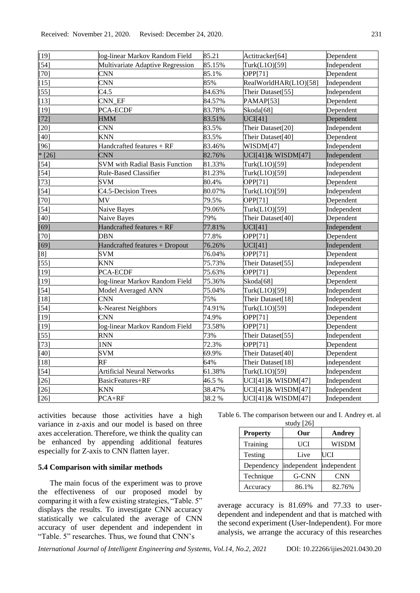| $[19]$   | log-linear Markov Random Field        | 85.21  | Actitracker[64]       | Dependent   |
|----------|---------------------------------------|--------|-----------------------|-------------|
| $[54]$   | Multivariate Adaptive Regression      | 85.15% | Turk(L1O)[59]         | Independent |
| [70]     | <b>CNN</b>                            | 85.1%  | OPP[71]               | Dependent   |
| $[15]$   | <b>CNN</b>                            | 85%    | RealWorldHAR(L1O)[58] | Independent |
| $[55]$   | C4.5                                  | 84.63% | Their Dataset[55]     | Independent |
| $[13]$   | CNN_EF                                | 84.57% | PAMAP[53]             | Dependent   |
| $[19]$   | PCA-ECDF                              | 83.78% | Skoda[68]             | Dependent   |
| $[72]$   | HMM                                   | 83.51% | UCI[41]               | Dependent   |
| $[20]$   | <b>CNN</b>                            | 83.5%  | Their Dataset[20]     | Independent |
| $[40]$   | <b>KNN</b>                            | 83.5%  | Their Dataset[40]     | Dependent   |
| [96]     | Handcrafted features + RF             | 83.46% | WISDM[47]             | Independent |
| $*$ [26] | <b>CNN</b>                            | 82.76% | UCI[41]& WISDM[47]    | Independent |
| $[54]$   | <b>SVM</b> with Radial Basis Function | 81.33% | Turk(L1O)[59]         | Independent |
| $[54]$   | Rule-Based Classifier                 | 81.23% | Turk(L1O)[59]         | Independent |
| $[73]$   | <b>SVM</b>                            | 80.4%  | OPP[71]               | Dependent   |
| $[54]$   | C4.5-Decision Trees                   | 80.07% | Turk(L1O)[59]         | Independent |
| $[70]$   | MV                                    | 79.5%  | OPP[71]               | Dependent   |
| $[54]$   | Naive Bayes                           | 79.06% | Turk(L1O)[59]         | Independent |
| $[40]$   | Naive Bayes                           | 79%    | Their Dataset[40]     | Dependent   |
| [69]     | Handcrafted features + RF             | 77.81% | UCI[41]               | Independent |
| $[70]$   | <b>DBN</b>                            | 77.8%  | OPP[71]               | Dependent   |
| $[69]$   | Handcrafted features + Dropout        | 76.26% | UCI[41]               | Independent |
| $^{[8]}$ | <b>SVM</b>                            | 76.04% | OPP[71]               | Dependent   |
| $[55]$   | <b>KNN</b>                            | 75.73% | Their Dataset[55]     | Independent |
| $[19]$   | PCA-ECDF                              | 75.63% | OPP[71]               | Dependent   |
| $[19]$   | log-linear Markov Random Field        | 75.36% | Skoda[68]             | Dependent   |
| $[54]$   | Model Averaged ANN                    | 75.04% | Turk(L1O)[59]         | Independent |
| $[18]$   | <b>CNN</b>                            | 75%    | Their Dataset[18]     | Independent |
| $[54]$   | k-Nearest Neighbors                   | 74.91% | Turk(L1O)[59]         | Independent |
| $[19]$   | <b>CNN</b>                            | 74.9%  | OPP[71]               | Dependent   |
| $[19]$   | log-linear Markov Random Field        | 73.58% | OPP[71]               | Dependent   |
| $[55]$   | <b>RNN</b>                            | 73%    | Their Dataset[55]     | Independent |
| $[73]$   | 1NN                                   | 72.3%  | OPP[71]               | Dependent   |
| $[40]$   | <b>SVM</b>                            | 69.9%  | Their Dataset[40]     | Dependent   |
| $[18]$   | RF                                    | 64%    | Their Dataset[18]     | independent |
| $[54]$   | <b>Artificial Neural Networks</b>     | 61.38% | Turk(L1O)[59]         | Independent |
| $[26]$   | BasicFeatures+RF                      | 46.5 % | UCI[41]& WISDM[47]    | Independent |
| $[26]$   | <b>KNN</b>                            | 38.47% | UCI[41]& WISDM[47]    | Independent |
| $[26]$   | $PCA+RF$                              | 38.2 % | UCI[41]& WISDM[47]    | Independent |

activities because those activities have a high variance in z-axis and our model is based on three axes acceleration. Therefore, we think the quality can be enhanced by appending additional features especially for Z-axis to CNN flatten layer.

### **5.4 Comparison with similar methods**

The main focus of the experiment was to prove the effectiveness of our proposed model by comparing it with a few existing strategies, "Table. 5" displays the results. To investigate CNN accuracy statistically we calculated the average of CNN accuracy of user dependent and independent in "Table. 5" researches. Thus, we found that CNN's

Table 6. The comparison between our and I. Andrey et. al  $stat$  $[26]$ 

| $5000 \times 1201$ |             |               |  |  |
|--------------------|-------------|---------------|--|--|
| <b>Property</b>    | Our         | <b>Andrey</b> |  |  |
| Training           | <b>UCI</b>  | <b>WISDM</b>  |  |  |
| Testing            | Live        | UCI           |  |  |
| Dependency         | independent | independent   |  |  |
| Technique          | G-CNN       | <b>CNN</b>    |  |  |
| Accuracy           | 86.1%       | 82.76%        |  |  |

average accuracy is 81.69% and 77.33 to userdependent and independent and that is matched with the second experiment (User-Independent). For more analysis, we arrange the accuracy of this researches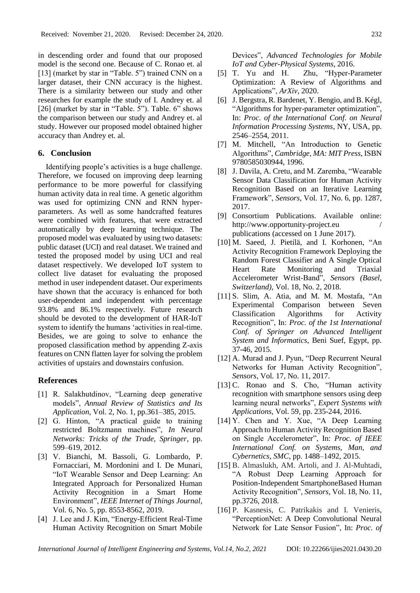in descending order and found that our proposed model is the second one. Because of C. Ronao et. al [13] (market by star in "Table. 5") trained CNN on a larger dataset, their CNN accuracy is the highest. There is a similarity between our study and other researches for example the study of I. Andrey et. al [26] (market by star in "Table. 5"). Table. 6" shows the comparison between our study and Andrey et. al study. However our proposed model obtained higher accuracy than Andrey et. al.

# **6. Conclusion**

Identifying people's activities is a huge challenge. Therefore, we focused on improving deep learning performance to be more powerful for classifying human activity data in real time. A genetic algorithm was used for optimizing CNN and RNN hyperparameters. As well as some handcrafted features were combined with features, that were extracted automatically by deep learning technique. The proposed model was evaluated by using two datasets: public dataset (UCI) and real dataset. We trained and tested the proposed model by using UCI and real dataset respectively. We developed IoT system to collect live dataset for evaluating the proposed method in user independent dataset. Our experiments have shown that the accuracy is enhanced for both user-dependent and independent with percentage 93.8% and 86.1% respectively. Future research should be devoted to the development of HAR-IoT system to identify the humans 'activities in real-time. Besides, we are going to solve to enhance the proposed classification method by appending Z-axis features on CNN flatten layer for solving the problem activities of upstairs and downstairs confusion.

# **References**

- [1] R. Salakhutdinov, "Learning deep generative models", *Annual Review of Statistics and Its Application*, Vol. 2, No. 1, pp.361–385, 2015.
- [2] G. Hinton, "A practical guide to training restricted Boltzmann machines", *In Neural Networks: Tricks of the Trade, Springer*, pp. 599–619, 2012.
- [3] V. Bianchi, M. Bassoli, G. Lombardo, P. Fornacciari, M. Mordonini and I. De Munari, "IoT Wearable Sensor and Deep Learning: An Integrated Approach for Personalized Human Activity Recognition in a Smart Home Environment", *IEEE Internet of Things Journal*, Vol. 6, No. 5, pp. 8553-8562, 2019.
- [4] J. Lee and J. Kim, "Energy-Efficient Real-Time Human Activity Recognition on Smart Mobile

Devices", *Advanced Technologies for Mobile IoT and Cyber-Physical Systems*, 2016.

- [5] T. Yu and H. Zhu, "Hyper-Parameter Optimization: A Review of Algorithms and Applications", *ArXiv*, 2020.
- [6] J. Bergstra, R. Bardenet, Y. Bengio, and B. Kégl, "Algorithms for hyper-parameter optimization", In: *Proc. of the International Conf. on Neural Information Processing Systems*, NY, USA, pp. 2546–2554, 2011.
- [7] M. Mitchell, "An Introduction to Genetic Algorithms", *Cambridge, MA: MIT Press*, ISBN 9780585030944, 1996.
- [8] J. Davila, A. Cretu, and M. Zaremba, "Wearable Sensor Data Classification for Human Activity Recognition Based on an Iterative Learning Framework", *Sensors*, Vol. 17, No. 6, pp. 1287, 2017.
- [9] Consortium Publications. Available online: http://www.opportunity-project.eu / publications (accessed on 1 June 2017).
- [10] M. Saeed, J. Pietilä, and I. Korhonen, "An Activity Recognition Framework Deploying the Random Forest Classifier and A Single Optical Heart Rate Monitoring and Triaxial Accelerometer Wrist-Band", *Sensors (Basel, Switzerland),* Vol. 18, No. 2, 2018.
- [11] S. Slim, A. Atia, and M. M. Mostafa, "An Experimental Comparison between Seven Classification Algorithms for Activity Recognition", In: *Proc. of the 1st International Conf. of Springer on Advanced Intelligent System and Informatics*, Beni Suef, Egypt, pp. 37-46, 2015.
- [12] A. Murad and J. Pyun, "Deep Recurrent Neural Networks for Human Activity Recognition", *Sensors*, Vol. 17, No. 11, 2017.
- [13] C. Ronao and S. Cho, "Human activity recognition with smartphone sensors using deep learning neural networks", *Expert Systems with Applications*, Vol. 59, pp. 235-244, 2016.
- [14] Y. Chen and Y. Xue, "A Deep Learning Approach to Human Activity Recognition Based on Single Accelerometer", In: *Proc. of IEEE International Conf. on Systems, Man, and Cybernetics, SMC*, pp. 1488–1492, 2015.
- [15] B. Almaslukh, AM. Artoli, and J. Al-Muhtadi, "A Robust Deep Learning Approach for Position-Independent SmartphoneBased Human Activity Recognition", *Sensors*, Vol. 18, No. 11, pp.3726, 2018.
- [16] P. Kasnesis, C. Patrikakis and I. Venieris, "PerceptionNet: A Deep Convolutional Neural Network for Late Sensor Fusion", In: *Proc. of*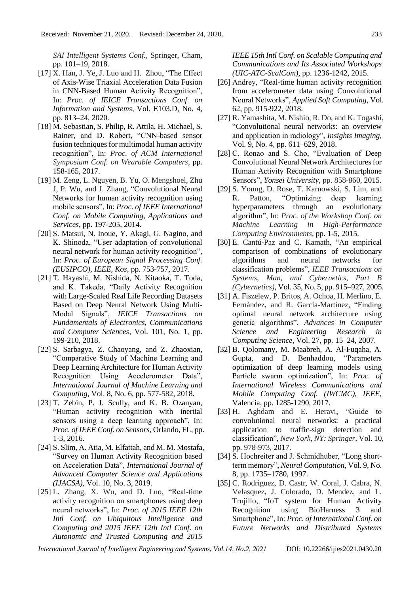*SAI Intelligent Systems Conf.*, Springer, Cham, pp. 101–19, 2018.

- [17] X. Han, J. Ye, J. Luo and H. Zhou, "The Effect of Axis-Wise Triaxial Acceleration Data Fusion in CNN-Based Human Activity Recognition", In: *Proc. of IEICE Transactions Conf. on Information and Systems*, Vol. E103.D, No. 4, pp. 813–24, 2020.
- [18] M. Sebastian, S. Philip, R. Attila, H. Michael, S. Rainer, and D. Robert, "CNN-based sensor fusion techniques for multimodal human activity recognition", In: *Proc. of ACM International Symposium Conf. on Wearable Computers*, pp. 158-165, 2017.
- [19] M. Zeng, L. Nguyen, B. Yu, O. Mengshoel, Zhu J, P. Wu, and J. Zhang, "Convolutional Neural Networks for human activity recognition using mobile sensors", In: *Proc. of IEEE International Conf. on Mobile Computing, Applications and Services*, pp. 197-205, 2014.
- [20] S. Matsui, N. Inoue, Y. Akagi, G. Nagino, and K. Shinoda, "User adaptation of convolutional neural network for human activity recognition", In: *Proc. of European Signal Processing Conf. (EUSIPCO), IEEE, Kos*, pp. 753-757, 2017.
- [21] T. Hayashi, M. Nishida, N. Kitaoka, T. Toda, and K. Takeda, "Daily Activity Recognition with Large-Scaled Real Life Recording Datasets Based on Deep Neural Network Using Multi-Modal Signals", *IEICE Transactions on Fundamentals of Electronics, Communications and Computer Sciences*, Vol. 101, No. 1, pp. 199-210, 2018.
- [22] S. Sarbagya, Z. Chaoyang, and Z. Zhaoxian, "Comparative Study of Machine Learning and Deep Learning Architecture for Human Activity Recognition Using Accelerometer Data", *International Journal of Machine Learning and Computing*, Vol. 8, No. 6, pp. 577-582, 2018.
- [23] T. Zebin, P. J. Scully, and K. B. Ozanyan, "Human activity recognition with inertial sensors using a deep learning approach", In: *Proc. of IEEE Conf. on Sensors*, Orlando, FL, pp. 1-3, 2016.
- [24] S. Slim, A. Atia, M. Elfattah, and M. M. Mostafa, "Survey on Human Activity Recognition based on Acceleration Data", *International Journal of Advanced Computer Science and Applications (IJACSA)*, Vol. 10, No. 3, 2019.
- [25] L. Zhang, X. Wu, and D. Luo, "Real-time activity recognition on smartphones using deep neural networks", In: *Proc. of 2015 IEEE 12th Intl Conf. on Ubiquitous Intelligence and Computing and 2015 IEEE 12th Intl Conf. on Autonomic and Trusted Computing and 2015*

*IEEE 15th Intl Conf. on Scalable Computing and Communications and Its Associated Workshops (UIC-ATC-ScalCom)*, pp. 1236-1242, 2015.

- [26] Andrey, "Real-time human activity recognition from accelerometer data using Convolutional Neural Networks", *Applied Soft Computing*, Vol. 62, pp. 915-922, 2018.
- [27] R. Yamashita, M. Nishio, R. Do, and K. Togashi, "Convolutional neural networks: an overview and application in radiology", *Insights Imaging,*  Vol. 9, No. 4, pp. 611–629, 2018.
- [28] C. Ronao and S. Cho, "Evaluation of Deep Convolutional Neural Network Architectures for Human Activity Recognition with Smartphone Sensors", *Yonsei University*, pp. 858-860, 2015.
- [29] S. Young, D. Rose, T. Karnowski, S. Lim, and R. Patton, "Optimizing deep learning hyperparameters through an evolutionary algorithm", In: *Proc. of the Workshop Conf. on Machine Learning in High-Performance Computing Environments,* pp. 1-5, 2015.
- [30] E. Cantú-Paz and C. Kamath, "An empirical comparison of combinations of evolutionary algorithms and neural networks for classification problems", *IEEE Transactions on Systems, Man, and Cybernetics, Part B (Cybernetics)*, Vol. 35, No. 5, pp. 915–927, 2005.
- [31] A. Fiszelew, P. Britos, A. Ochoa, H. Merlino, E. Fernández, and R. García-Martínez, "Finding optimal neural network architecture using genetic algorithms", *Advances in Computer Science and Engineering Research in Computing Science*, Vol. 27, pp. 15–24, 2007.
- [32] B. Qolomany, M. Maabreh, A. Al-Fuqaha, A. Gupta, and D. Benhaddou, "Parameters optimization of deep learning models using Particle swarm optimization", In: *Proc. of International Wireless Communications and Mobile Computing Conf. (IWCMC), IEEE,* Valencia, pp. 1285-1290, 2017.
- [33] H. Aghdam and E. Heravi, "Guide to convolutional neural networks: a practical application to traffic-sign detection and classification", *New York, NY: Springer*, Vol. 10, pp. 978-973, 2017.
- [34] S. Hochreiter and J. Schmidhuber, "Long shortterm memory", *Neural Computation*, Vol. 9, No. 8, pp. 1735–1780, 1997.
- [35] C. Rodriguez, D. Castr, W. Coral, J. Cabra, N. Velasquez, J. Colorado, D. Mendez, and L. Trujillo, "IoT system for Human Activity Recognition using BioHarness 3 and Smartphone", In: *Proc. of International Conf. on Future Networks and Distributed Systems*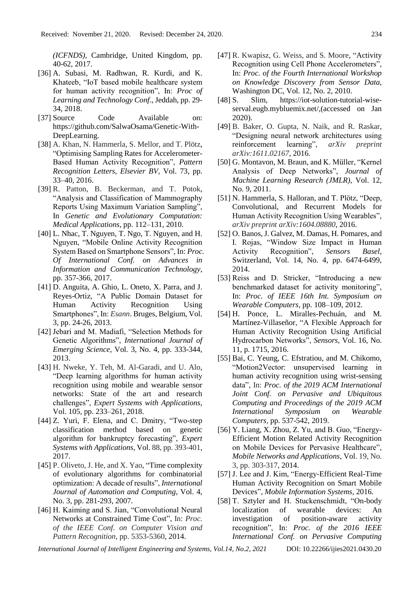*(ICFNDS),* Cambridge, United Kingdom, pp. 40-62, 2017.

- [36] A. Subasi, M. Radhwan, R. Kurdi, and K. Khateeb, "IoT based mobile healthcare system for human activity recognition", In: *Proc of Learning and Technology Conf*., Jeddah, pp. 29- 34, 2018.
- [37] Source Code Available on: https://github.com/SalwaOsama/Genetic-With-DeepLearning.
- [38] A. Khan, N. Hammerla, S. Mellor, and T. Plötz, "Optimising Sampling Rates for Accelerometer-Based Human Activity Recognition", *Pattern Recognition Letters, Elsevier BV*, Vol. 73, pp. 33–40, 2016.
- [39] R. Patton, B. Beckerman, and T. Potok, "Analysis and Classification of Mammography Reports Using Maximum Variation Sampling", In *Genetic and Evolutionary Computation: Medical Applications*, pp. 112–131, 2010.
- [40] L. Nhac, T. Nguyen, T. Ngo, T. Nguyen, and H. Nguyen, "Mobile Online Activity Recognition System Based on Smartphone Sensors", In: *Proc. Of International Conf. on Advances in Information and Communication Technology*, pp. 357-366, 2017.
- [41] D. Anguita, A. Ghio, L. Oneto, X. Parra, and J. Reyes-Ortiz, "A Public Domain Dataset for Human Activity Recognition Using Smartphones", In: *Esann*. Bruges, Belgium, Vol. 3, pp. 24-26, 2013.
- [42] Jebari and M. Madiafi, "Selection Methods for Genetic Algorithms", *International Journal of Emerging Science*, Vol. 3, No. 4, pp. 333-344, 2013.
- [43] H. Nweke, Y. Teh, M. Al-Garadi, and U. Alo, "Deep learning algorithms for human activity recognition using mobile and wearable sensor networks: State of the art and research challenges", *Expert Systems with Applications*, Vol. 105, pp. 233–261, 2018.
- [44] Z. Yuri, F. Elena, and C. Dmitry, "Two-step classification method based on genetic algorithm for bankruptcy forecasting", *Expert Systems with Applications*, Vol. 88, pp. 393-401, 2017.
- [45] P. Oliveto, J. He, and X. Yao, "Time complexity of evolutionary algorithms for combinatorial optimization: A decade of results", *International Journal of Automation and Computing*, Vol. 4, No. 3, pp. 281-293, 2007.
- [46] H. Kaiming and S. Jian, "Convolutional Neural Networks at Constrained Time Cost", In: *Proc. of the IEEE Conf. on Computer Vision and Pattern Recognition*, pp. 5353-5360, 2014.
- [47] R. Kwapisz, G. Weiss, and S. Moore, "Activity Recognition using Cell Phone Accelerometers", In: *Proc. of the Fourth International Workshop on Knowledge Discovery from Sensor Data*, Washington DC, Vol. 12, No. 2, 2010.
- [48] S. Slim, https://iot-solution-tutorial-wiseserval.eugb.mybluemix.net/,(accessed on Jan 2020).
- [49] B. Baker, O. Gupta, N. Naik, and R. Raskar, "Designing neural network architectures using reinforcement learning", *arXiv preprint arXiv:1611.02167*, 2016.
- [50] G. Montavon, M. Braun, and K. Müller, "Kernel Analysis of Deep Networks", *Journal of Machine Learning Research (JMLR),* Vol. 12, No. 9, 2011.
- [51] N. Hammerla, S. Halloran, and T. Plötz, "Deep, Convolutional, and Recurrent Models for Human Activity Recognition Using Wearables", *arXiv preprint arXiv:1604.08880*, 2016.
- [52] O. Banos, J. Galvez, M. Damas, H. Pomares, and I. Rojas, "Window Size Impact in Human Activity Recognition", *Sensors Basel*, Switzerland, Vol. 14, No. 4, pp. 6474-6499, 2014.
- [53] Reiss and D. Stricker, "Introducing a new benchmarked dataset for activity monitoring", In: *Proc. of IEEE 16th Int. Symposium on Wearable Computers*, pp. 108–109, 2012.
- [54] H. Ponce, L. Miralles-Pechuán, and M. Martínez-Villaseñor, "A Flexible Approach for Human Activity Recognition Using Artificial Hydrocarbon Networks", *Sensors*, Vol. 16, No. 11, p. 1715, 2016.
- [55] Bai, C. Yeung, C. Efstratiou, and M. Chikomo, "Motion2Vector: unsupervised learning in human activity recognition using wrist-sensing data", In: *Proc. of the 2019 ACM International Joint Conf. on Pervasive and Ubiquitous Computing and Proceedings of the 2019 ACM International Symposium on Wearable Computers,* pp. 537-542, 2019.
- [56] Y. Liang, X. Zhou, Z. Yu, and B. Guo, "Energy-Efficient Motion Related Activity Recognition on Mobile Devices for Pervasive Healthcare", *Mobile Networks and Applications*, Vol. 19, No. 3, pp. 303-317, 2014.
- [57] J. Lee and J. Kim, "Energy-Efficient Real-Time Human Activity Recognition on Smart Mobile Devices", *Mobile Information Systems*, 2016.
- [58] T. Sztyler and H. Stuckenschmidt, "On-body localization of wearable devices: An investigation of position-aware activity recognition", In: *Proc. of the 2016 IEEE International Conf. on Pervasive Computing*